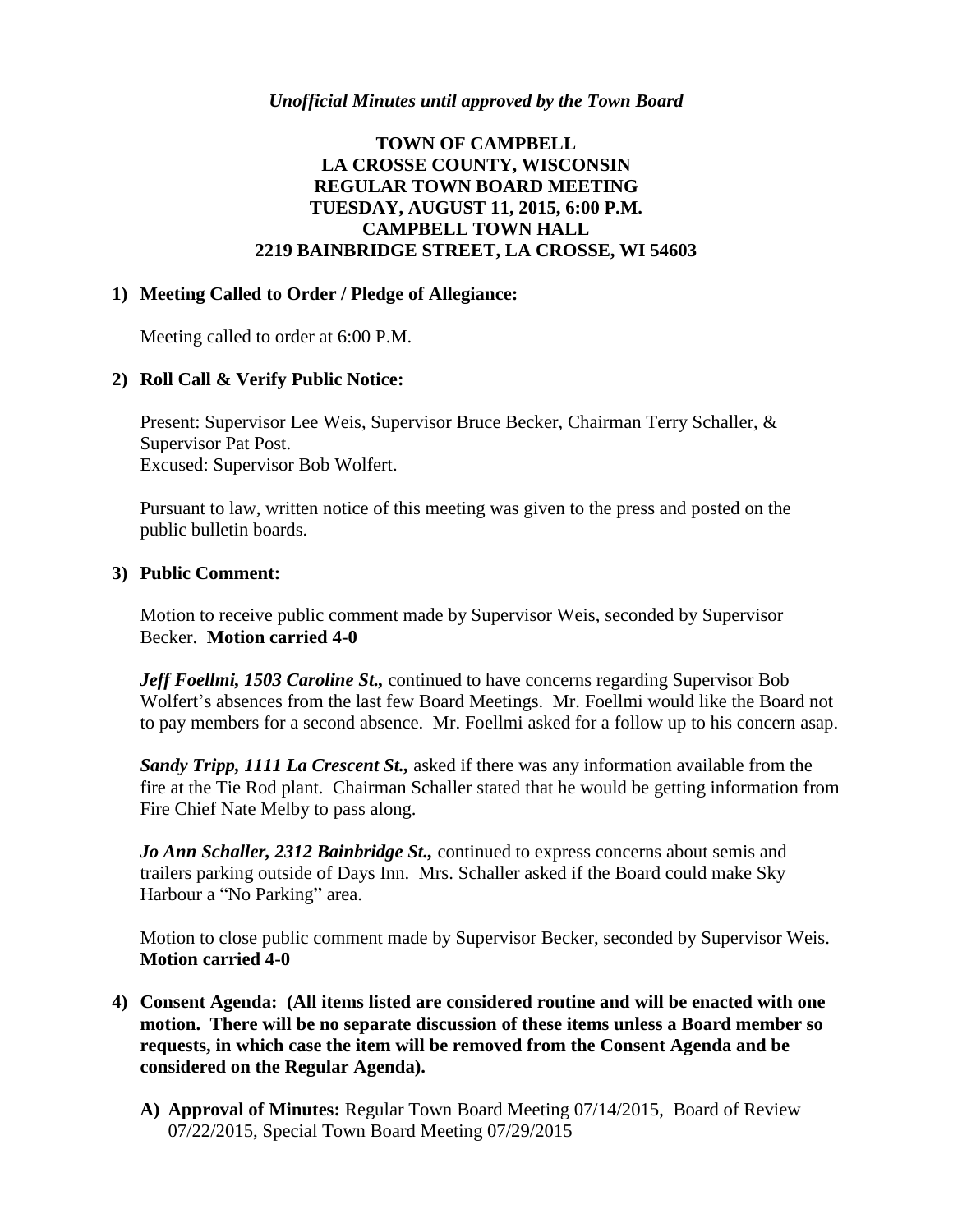### *Unofficial Minutes until approved by the Town Board*

# **TOWN OF CAMPBELL LA CROSSE COUNTY, WISCONSIN REGULAR TOWN BOARD MEETING TUESDAY, AUGUST 11, 2015, 6:00 P.M. CAMPBELL TOWN HALL 2219 BAINBRIDGE STREET, LA CROSSE, WI 54603**

#### **1) Meeting Called to Order / Pledge of Allegiance:**

Meeting called to order at 6:00 P.M.

#### **2) Roll Call & Verify Public Notice:**

Present: Supervisor Lee Weis, Supervisor Bruce Becker, Chairman Terry Schaller, & Supervisor Pat Post. Excused: Supervisor Bob Wolfert.

Pursuant to law, written notice of this meeting was given to the press and posted on the public bulletin boards.

#### **3) Public Comment:**

Motion to receive public comment made by Supervisor Weis, seconded by Supervisor Becker. **Motion carried 4-0**

*Jeff Foellmi, 1503 Caroline St.,* continued to have concerns regarding Supervisor Bob Wolfert's absences from the last few Board Meetings. Mr. Foellmi would like the Board not to pay members for a second absence. Mr. Foellmi asked for a follow up to his concern asap.

*Sandy Tripp, 1111 La Crescent St.,* asked if there was any information available from the fire at the Tie Rod plant. Chairman Schaller stated that he would be getting information from Fire Chief Nate Melby to pass along.

*Jo Ann Schaller, 2312 Bainbridge St.,* continued to express concerns about semis and trailers parking outside of Days Inn. Mrs. Schaller asked if the Board could make Sky Harbour a "No Parking" area.

Motion to close public comment made by Supervisor Becker, seconded by Supervisor Weis. **Motion carried 4-0**

- **4) Consent Agenda: (All items listed are considered routine and will be enacted with one motion. There will be no separate discussion of these items unless a Board member so requests, in which case the item will be removed from the Consent Agenda and be considered on the Regular Agenda).**
	- **A) Approval of Minutes:** Regular Town Board Meeting 07/14/2015, Board of Review 07/22/2015, Special Town Board Meeting 07/29/2015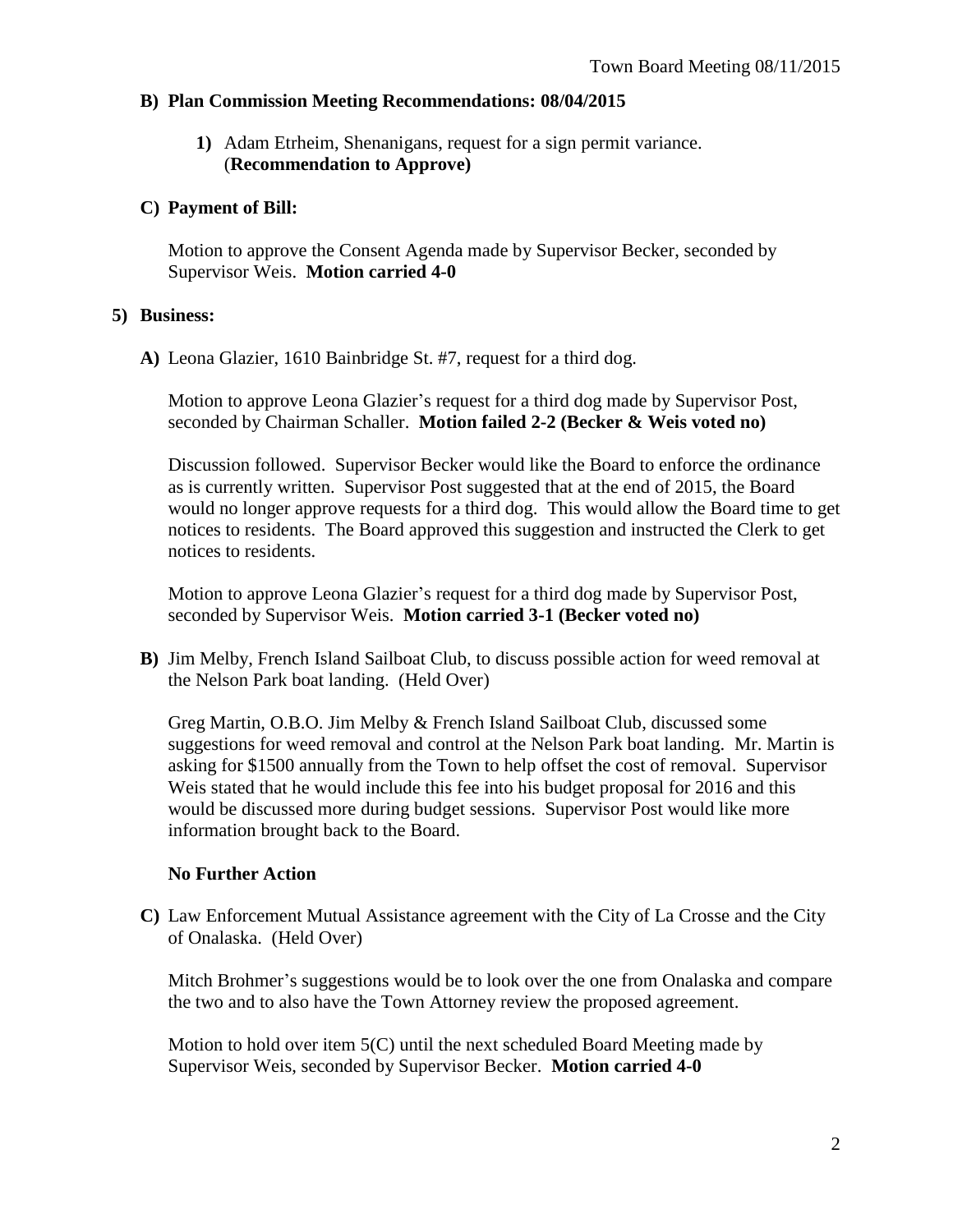### **B) Plan Commission Meeting Recommendations: 08/04/2015**

**1)** Adam Etrheim, Shenanigans, request for a sign permit variance. (**Recommendation to Approve)**

### **C) Payment of Bill:**

Motion to approve the Consent Agenda made by Supervisor Becker, seconded by Supervisor Weis. **Motion carried 4-0**

### **5) Business:**

**A)** Leona Glazier, 1610 Bainbridge St. #7, request for a third dog.

Motion to approve Leona Glazier's request for a third dog made by Supervisor Post, seconded by Chairman Schaller. **Motion failed 2-2 (Becker & Weis voted no)**

Discussion followed. Supervisor Becker would like the Board to enforce the ordinance as is currently written. Supervisor Post suggested that at the end of 2015, the Board would no longer approve requests for a third dog. This would allow the Board time to get notices to residents. The Board approved this suggestion and instructed the Clerk to get notices to residents.

Motion to approve Leona Glazier's request for a third dog made by Supervisor Post, seconded by Supervisor Weis. **Motion carried 3-1 (Becker voted no)**

**B)** Jim Melby, French Island Sailboat Club, to discuss possible action for weed removal at the Nelson Park boat landing. (Held Over)

Greg Martin, O.B.O. Jim Melby & French Island Sailboat Club, discussed some suggestions for weed removal and control at the Nelson Park boat landing. Mr. Martin is asking for \$1500 annually from the Town to help offset the cost of removal. Supervisor Weis stated that he would include this fee into his budget proposal for 2016 and this would be discussed more during budget sessions. Supervisor Post would like more information brought back to the Board.

# **No Further Action**

**C)** Law Enforcement Mutual Assistance agreement with the City of La Crosse and the City of Onalaska. (Held Over)

Mitch Brohmer's suggestions would be to look over the one from Onalaska and compare the two and to also have the Town Attorney review the proposed agreement.

Motion to hold over item 5(C) until the next scheduled Board Meeting made by Supervisor Weis, seconded by Supervisor Becker. **Motion carried 4-0**